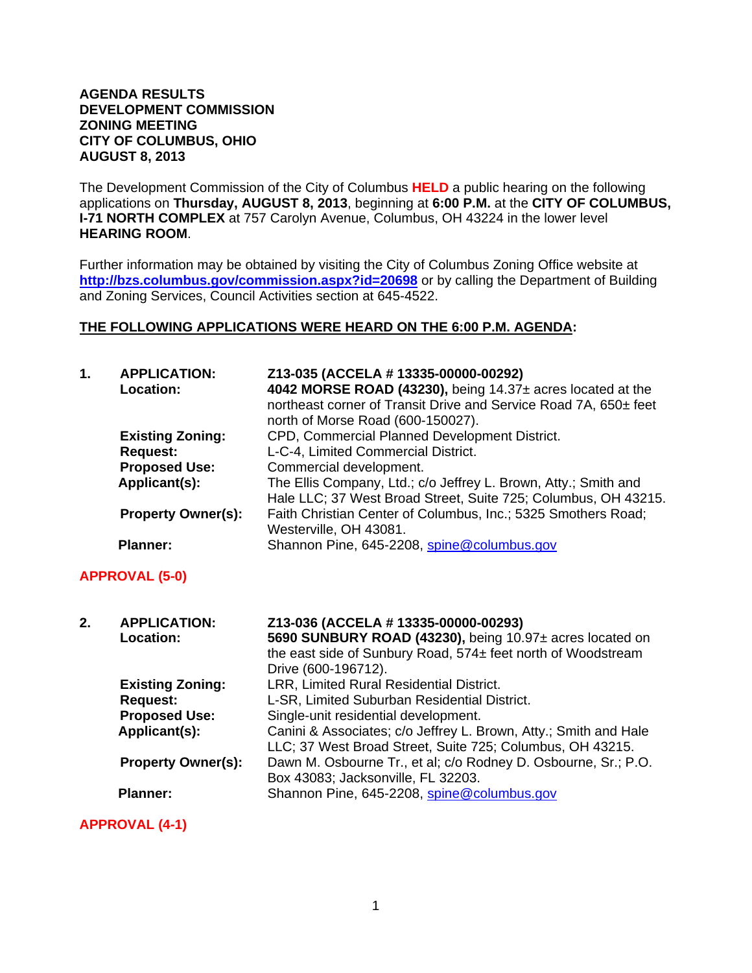#### **AGENDA RESULTS DEVELOPMENT COMMISSION ZONING MEETING CITY OF COLUMBUS, OHIO AUGUST 8, 2013**

The Development Commission of the City of Columbus **HELD** a public hearing on the following applications on **Thursday, AUGUST 8, 2013**, beginning at **6:00 P.M.** at the **CITY OF COLUMBUS, I-71 NORTH COMPLEX** at 757 Carolyn Avenue, Columbus, OH 43224 in the lower level **HEARING ROOM**.

Further information may be obtained by visiting the City of Columbus Zoning Office website at **http://bzs.columbus.gov/commission.aspx?id=20698** or by calling the Department of Building and Zoning Services, Council Activities section at 645-4522.

### **THE FOLLOWING APPLICATIONS WERE HEARD ON THE 6:00 P.M. AGENDA:**

| 1. | <b>APPLICATION:</b><br><b>Location:</b> | Z13-035 (ACCELA # 13335-00000-00292)<br>4042 MORSE ROAD (43230), being 14.37± acres located at the    |
|----|-----------------------------------------|-------------------------------------------------------------------------------------------------------|
|    |                                         | northeast corner of Transit Drive and Service Road 7A, 650± feet<br>north of Morse Road (600-150027). |
|    | <b>Existing Zoning:</b>                 | CPD, Commercial Planned Development District.                                                         |
|    | <b>Request:</b>                         | L-C-4, Limited Commercial District.                                                                   |
|    | <b>Proposed Use:</b>                    | Commercial development.                                                                               |
|    | Applicant(s):                           | The Ellis Company, Ltd.; c/o Jeffrey L. Brown, Atty.; Smith and                                       |
|    |                                         | Hale LLC; 37 West Broad Street, Suite 725; Columbus, OH 43215.                                        |
|    | <b>Property Owner(s):</b>               | Faith Christian Center of Columbus, Inc.; 5325 Smothers Road;                                         |
|    |                                         | Westerville, OH 43081.                                                                                |
|    | <b>Planner:</b>                         | Shannon Pine, 645-2208, spine@columbus.gov                                                            |

## **APPROVAL (5-0)**

| 2. | <b>APPLICATION:</b><br>Location: | Z13-036 (ACCELA # 13335-00000-00293)<br>5690 SUNBURY ROAD (43230), being 10.97± acres located on<br>the east side of Sunbury Road, 574± feet north of Woodstream<br>Drive (600-196712). |
|----|----------------------------------|-----------------------------------------------------------------------------------------------------------------------------------------------------------------------------------------|
|    | <b>Existing Zoning:</b>          | LRR, Limited Rural Residential District.                                                                                                                                                |
|    | <b>Request:</b>                  | L-SR, Limited Suburban Residential District.                                                                                                                                            |
|    | <b>Proposed Use:</b>             | Single-unit residential development.                                                                                                                                                    |
|    | Applicant(s):                    | Canini & Associates; c/o Jeffrey L. Brown, Atty.; Smith and Hale<br>LLC; 37 West Broad Street, Suite 725; Columbus, OH 43215.                                                           |
|    | <b>Property Owner(s):</b>        | Dawn M. Osbourne Tr., et al; c/o Rodney D. Osbourne, Sr.; P.O.<br>Box 43083; Jacksonville, FL 32203.                                                                                    |
|    | <b>Planner:</b>                  | Shannon Pine, 645-2208, spine@columbus.gov                                                                                                                                              |

**APPROVAL (4-1)**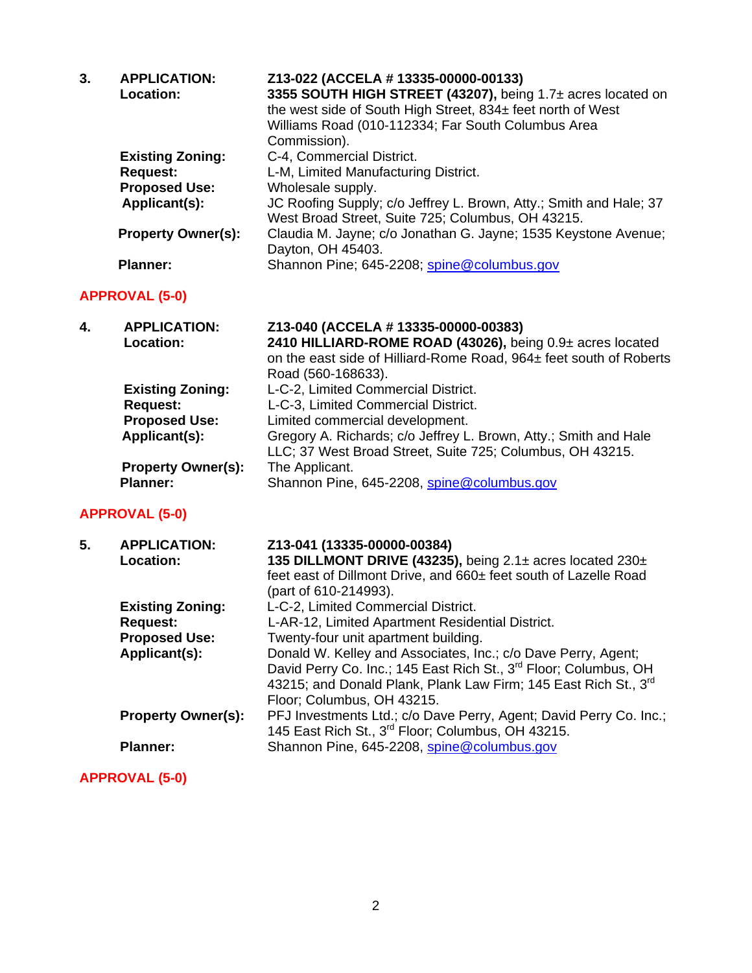| 3. | <b>APPLICATION:</b><br>Location:        | Z13-022 (ACCELA # 13335-00000-00133)<br>3355 SOUTH HIGH STREET (43207), being 1.7± acres located on<br>the west side of South High Street, 834± feet north of West<br>Williams Road (010-112334; Far South Columbus Area<br>Commission). |
|----|-----------------------------------------|------------------------------------------------------------------------------------------------------------------------------------------------------------------------------------------------------------------------------------------|
|    | <b>Existing Zoning:</b>                 | C-4, Commercial District.                                                                                                                                                                                                                |
|    | <b>Request:</b>                         | L-M, Limited Manufacturing District.                                                                                                                                                                                                     |
|    | <b>Proposed Use:</b>                    | Wholesale supply.                                                                                                                                                                                                                        |
|    | Applicant(s):                           | JC Roofing Supply; c/o Jeffrey L. Brown, Atty.; Smith and Hale; 37<br>West Broad Street, Suite 725; Columbus, OH 43215.                                                                                                                  |
|    | <b>Property Owner(s):</b>               | Claudia M. Jayne; c/o Jonathan G. Jayne; 1535 Keystone Avenue;<br>Dayton, OH 45403.                                                                                                                                                      |
|    | <b>Planner:</b>                         | Shannon Pine; 645-2208; spine@columbus.gov                                                                                                                                                                                               |
|    | <b>APPROVAL (5-0)</b>                   |                                                                                                                                                                                                                                          |
| 4. | <b>APPLICATION:</b><br><b>Location:</b> | Z13-040 (ACCELA # 13335-00000-00383)<br>2410 HILLIARD-ROME ROAD (43026), being 0.9± acres located<br>on the east side of Hilliard-Rome Road, 964± feet south of Roberts<br>Road (560-168633).                                            |
|    | <b>Existing Zoning:</b>                 | L-C-2, Limited Commercial District.                                                                                                                                                                                                      |
|    | <b>Request:</b>                         | L-C-3, Limited Commercial District.                                                                                                                                                                                                      |
|    | <b>Proposed Use:</b>                    | Limited commercial development.                                                                                                                                                                                                          |
|    | Applicant(s):                           | Gregory A. Richards; c/o Jeffrey L. Brown, Atty.; Smith and Hale<br>LLC; 37 West Broad Street, Suite 725; Columbus, OH 43215.                                                                                                            |
|    | <b>Property Owner(s):</b>               | The Applicant.                                                                                                                                                                                                                           |
|    | <b>Planner:</b>                         | Shannon Pine, 645-2208, spine@columbus.gov                                                                                                                                                                                               |
|    | <b>APPROVAL (5-0)</b>                   |                                                                                                                                                                                                                                          |

| 5. | <b>APPLICATION:</b>       | Z13-041 (13335-00000-00384)                                                  |
|----|---------------------------|------------------------------------------------------------------------------|
|    | <b>Location:</b>          | 135 DILLMONT DRIVE (43235), being 2.1± acres located 230±                    |
|    |                           | feet east of Dillmont Drive, and 660± feet south of Lazelle Road             |
|    |                           | (part of 610-214993).                                                        |
|    | <b>Existing Zoning:</b>   | L-C-2, Limited Commercial District.                                          |
|    | <b>Request:</b>           | L-AR-12, Limited Apartment Residential District.                             |
|    | <b>Proposed Use:</b>      | Twenty-four unit apartment building.                                         |
|    | Applicant(s):             | Donald W. Kelley and Associates, Inc.; c/o Dave Perry, Agent;                |
|    |                           | David Perry Co. Inc.; 145 East Rich St., 3 <sup>rd</sup> Floor; Columbus, OH |
|    |                           | 43215; and Donald Plank, Plank Law Firm; 145 East Rich St., 3 <sup>rd</sup>  |
|    |                           | Floor; Columbus, OH 43215.                                                   |
|    | <b>Property Owner(s):</b> | PFJ Investments Ltd.; c/o Dave Perry, Agent; David Perry Co. Inc.;           |
|    |                           | 145 East Rich St., 3 <sup>rd</sup> Floor; Columbus, OH 43215.                |
|    | <b>Planner:</b>           | Shannon Pine, 645-2208, spine@columbus.gov                                   |
|    |                           |                                                                              |

# **APPROVAL (5-0)**